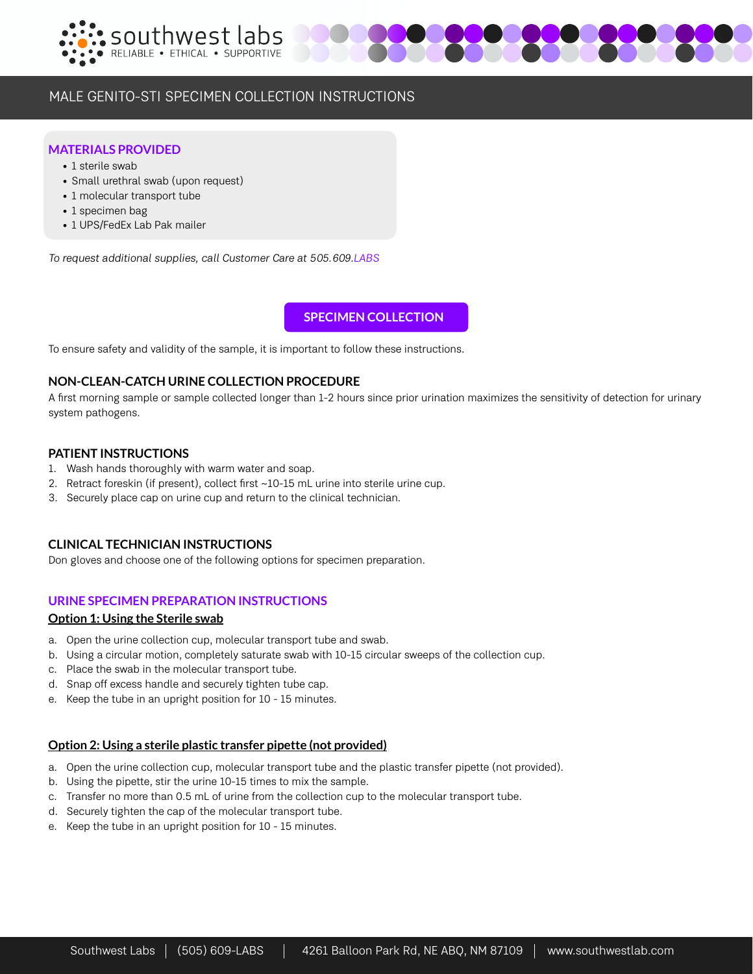



# MALE GENITO-STI SPECIMEN COLLECTION INSTRUCTIONS

## **MATERIALS PROVIDED**

- 1 sterile swab
- Small urethral swab (upon request)
- 1 molecular transport tube
- 1 specimen bag
- 1 UPS/FedEx Lab Pak mailer

To request additional supplies, call Customer Care at 505.609.LABS

**SPECIMEN COLLECTION**

To ensure safety and validity of the sample, it is important to follow these instructions.

# **NON-CLEAN-CATCH URINE COLLECTION PROCEDURE**

A first morning sample or sample collected longer than 1-2 hours since prior urination maximizes the sensitivity of detection for urinary system pathogens.

## **PATIENT INSTRUCTIONS**

- 1. Wash hands thoroughly with warm water and soap.
- 2. Retract foreskin (if present), collect first ~10-15 mL urine into sterile urine cup.
- 3. Securely place cap on urine cup and return to the clinical technician.

# **CLINICAL TECHNICIAN INSTRUCTIONS**

Don gloves and choose one of the following options for specimen preparation.

## **URINE SPECIMEN PREPARATION INSTRUCTIONS**

## **Option 1: Using the Sterile swab**

- a. Open the urine collection cup, molecular transport tube and swab.
- b. Using a circular motion, completely saturate swab with 10-15 circular sweeps of the collection cup.
- c. Place the swab in the molecular transport tube.
- d. Snap off excess handle and securely tighten tube cap.
- e. Keep the tube in an upright position for 10 15 minutes.

## **Option 2: Using a sterile plastic transfer pipette (not provided)**

- a. Open the urine collection cup, molecular transport tube and the plastic transfer pipette (not provided).
- b. Using the pipette, stir the urine 10-15 times to mix the sample.
- c. Transfer no more than 0.5 mL of urine from the collection cup to the molecular transport tube.
- d. Securely tighten the cap of the molecular transport tube.
- e. Keep the tube in an upright position for 10 15 minutes.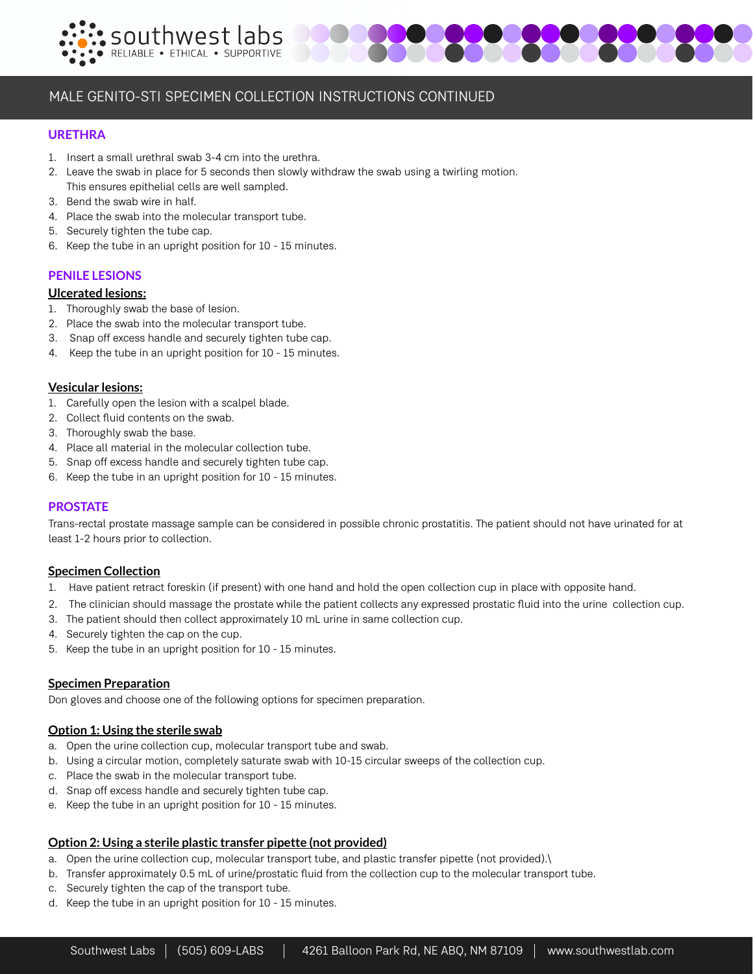



# MALE GENITO-STI SPECIMEN COLLECTION INSTRUCTIONS CONTINUED

## **URETHRA**

- 1. Insert a small urethral swab 3-4 cm into the urethra.
- 2. Leave the swab in place for 5 seconds then slowly withdraw the swab using a twirling motion. This ensures epithelial cells are well sampled.
- 3. Bend the swab wire in half.
- 4. Place the swab into the molecular transport tube.
- 5. Securely tighten the tube cap.
- 6. Keep the tube in an upright position for 10 15 minutes.

## **PENILE LESIONS**

## **Ulcerated lesions:**

- 1. Thoroughly swab the base of lesion.
- 2. Place the swab into the molecular transport tube.
- 3. Snap off excess handle and securely tighten tube cap.
- 4. Keep the tube in an upright position for 10 15 minutes.

## **Vesicular lesions:**

- 1. Carefully open the lesion with a scalpel blade.
- 2. Collect fluid contents on the swab.
- 3. Thoroughly swab the base.
- 4. Place all material in the molecular collection tube.
- 5. Snap off excess handle and securely tighten tube cap.
- 6. Keep the tube in an upright position for 10 15 minutes.

## **PROSTATE**

Trans-rectal prostate massage sample can be considered in possible chronic prostatitis. The patient should not have urinated for at least 1-2 hours prior to collection.

## **Specimen Collection**

- 1. Have patient retract foreskin (if present) with one hand and hold the open collection cup in place with opposite hand.
- 2. The clinician should massage the prostate while the patient collects any expressed prostatic fluid into the urine collection cup.
- 3. The patient should then collect approximately 10 mL urine in same collection cup.
- 4. Securely tighten the cap on the cup.
- 5. Keep the tube in an upright position for 10 15 minutes.

# **Specimen Preparation**

Don gloves and choose one of the following options for specimen preparation.

## **Option 1: Using the sterile swab**

- a. Open the urine collection cup, molecular transport tube and swab.
- b. Using a circular motion, completely saturate swab with 10-15 circular sweeps of the collection cup.
- c. Place the swab in the molecular transport tube.
- d. Snap off excess handle and securely tighten tube cap.
- e. Keep the tube in an upright position for 10 15 minutes.

# **Option 2: Using a sterile plastic transfer pipette (not provided)**

- a. Open the urine collection cup, molecular transport tube, and plastic transfer pipette (not provided).\
- b. Transfer approximately 0.5 mL of urine/prostatic fluid from the collection cup to the molecular transport tube.
- c. Securely tighten the cap of the transport tube.
- d. Keep the tube in an upright position for 10 15 minutes.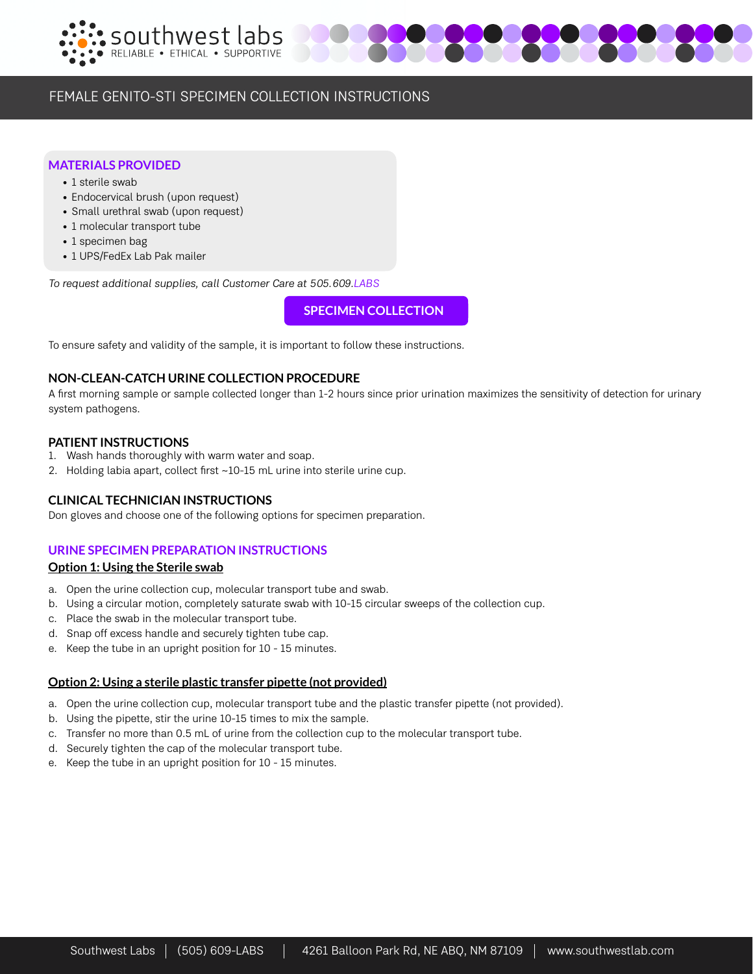



# FEMALE GENITO-STI SPECIMEN COLLECTION INSTRUCTIONS

# **MATERIALS PROVIDED**

- 1 sterile swab
- Endocervical brush (upon request)
- Small urethral swab (upon request)
- 1 molecular transport tube
- 1 specimen bag
- 1 UPS/FedEx Lab Pak mailer

To request additional supplies, call Customer Care at 505.609.LABS

**SPECIMEN COLLECTION**

To ensure safety and validity of the sample, it is important to follow these instructions.

# **NON-CLEAN-CATCH URINE COLLECTION PROCEDURE**

A first morning sample or sample collected longer than 1-2 hours since prior urination maximizes the sensitivity of detection for urinary system pathogens.

# **PATIENT INSTRUCTIONS**

- 1. Wash hands thoroughly with warm water and soap.
- 2. Holding labia apart, collect first ~10-15 mL urine into sterile urine cup.

# **CLINICAL TECHNICIAN INSTRUCTIONS**

Don gloves and choose one of the following options for specimen preparation.

# **URINE SPECIMEN PREPARATION INSTRUCTIONS**

## **Option 1: Using the Sterile swab**

- a. Open the urine collection cup, molecular transport tube and swab.
- b. Using a circular motion, completely saturate swab with 10-15 circular sweeps of the collection cup.
- c. Place the swab in the molecular transport tube.
- d. Snap off excess handle and securely tighten tube cap.
- e. Keep the tube in an upright position for 10 15 minutes.

# **Option 2: Using a sterile plastic transfer pipette (not provided)**

- a. Open the urine collection cup, molecular transport tube and the plastic transfer pipette (not provided).
- b. Using the pipette, stir the urine 10-15 times to mix the sample.
- c. Transfer no more than 0.5 mL of urine from the collection cup to the molecular transport tube.
- d. Securely tighten the cap of the molecular transport tube.
- e. Keep the tube in an upright position for 10 15 minutes.